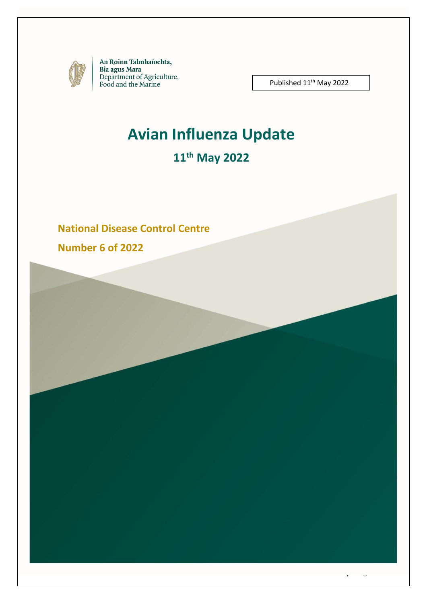

An Roinn Talmhaíochta, Bia agus Mara<br>Department of Agriculture,<br>Food and the Marine

Published 11<sup>th</sup> May 2022

1 | P a g e

# **Avian Influenza Update**

# **11 th May 2022**

### **National Disease Control Centre**

**Number 6 of 2022**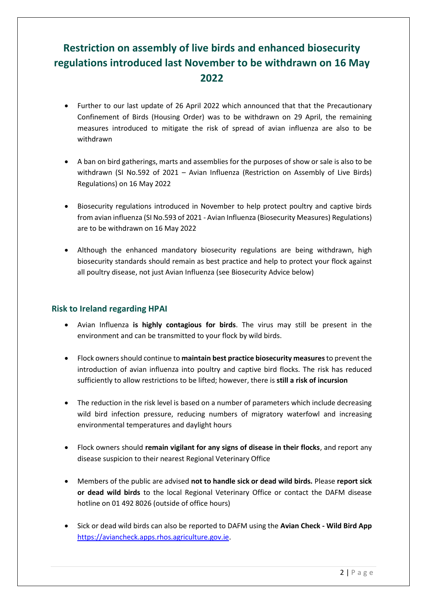# **Restriction on assembly of live birds and enhanced biosecurity regulations introduced last November to be withdrawn on 16 May 2022**

- Further to our last update of 26 April 2022 which announced that that the Precautionary Confinement of Birds (Housing Order) was to be withdrawn on 29 April, the remaining measures introduced to mitigate the risk of spread of avian influenza are also to be withdrawn
- A ban on bird gatherings, marts and assemblies for the purposes of show or sale is also to be withdrawn (SI No.592 of 2021 – Avian Influenza (Restriction on Assembly of Live Birds) Regulations) on 16 May 2022
- Biosecurity regulations introduced in November to help protect poultry and captive birds from avian influenza (SI No.593 of 2021 - Avian Influenza (Biosecurity Measures) Regulations) are to be withdrawn on 16 May 2022
- Although the enhanced mandatory biosecurity regulations are being withdrawn, high biosecurity standards should remain as best practice and help to protect your flock against all poultry disease, not just Avian Influenza (see Biosecurity Advice below)

### **Risk to Ireland regarding HPAI**

- Avian Influenza **is highly contagious for birds**. The virus may still be present in the environment and can be transmitted to your flock by wild birds.
- Flock owners should continue to **maintain best practice biosecurity measures**to prevent the introduction of avian influenza into poultry and captive bird flocks. The risk has reduced sufficiently to allow restrictions to be lifted; however, there is **still a risk of incursion**
- The reduction in the risk level is based on a number of parameters which include decreasing wild bird infection pressure, reducing numbers of migratory waterfowl and increasing environmental temperatures and daylight hours
- Flock owners should **remain vigilant for any signs of disease in their flocks**, and report any disease suspicion to their nearest Regional Veterinary Office
- Members of the public are advised **not to handle sick or dead wild birds.** Please **report sick or dead wild birds** to the local Regional Veterinary Office or contact the DAFM disease hotline on 01 492 8026 (outside of office hours)
- Sick or dead wild birds can also be reported to DAFM using the **Avian Check - Wild Bird App** [https://aviancheck.apps.rhos.agriculture.gov.ie.](https://aviancheck.apps.rhos.agriculture.gov.ie/)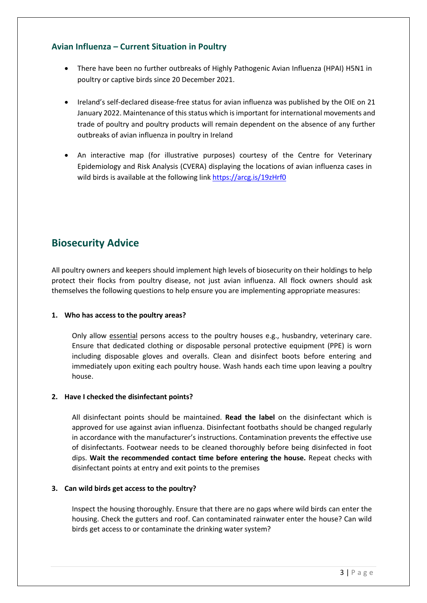### **Avian Influenza – Current Situation in Poultry**

- There have been no further outbreaks of Highly Pathogenic Avian Influenza (HPAI) H5N1 in poultry or captive birds since 20 December 2021.
- Ireland's self-declared disease-free status for avian influenza was published by the OIE on 21 January 2022. Maintenance of this status which is important for international movements and trade of poultry and poultry products will remain dependent on the absence of any further outbreaks of avian influenza in poultry in Ireland
- An interactive map (for illustrative purposes) courtesy of the Centre for Veterinary Epidemiology and Risk Analysis (CVERA) displaying the locations of avian influenza cases in wild birds is available at the following link<https://arcg.is/19zHrf0>

# **Biosecurity Advice**

All poultry owners and keepers should implement high levels of biosecurity on their holdings to help protect their flocks from poultry disease, not just avian influenza. All flock owners should ask themselves the following questions to help ensure you are implementing appropriate measures:

### **1. Who has access to the poultry areas?**

Only allow essential persons access to the poultry houses e.g., husbandry, veterinary care. Ensure that dedicated clothing or disposable personal protective equipment (PPE) is worn including disposable gloves and overalls. Clean and disinfect boots before entering and immediately upon exiting each poultry house. Wash hands each time upon leaving a poultry house.

#### **2. Have I checked the disinfectant points?**

All disinfectant points should be maintained. **Read the label** on the disinfectant which is approved for use against avian influenza. Disinfectant footbaths should be changed regularly in accordance with the manufacturer's instructions. Contamination prevents the effective use of disinfectants. Footwear needs to be cleaned thoroughly before being disinfected in foot dips. **Wait the recommended contact time before entering the house.** Repeat checks with disinfectant points at entry and exit points to the premises

#### **3. Can wild birds get access to the poultry?**

Inspect the housing thoroughly. Ensure that there are no gaps where wild birds can enter the housing. Check the gutters and roof. Can contaminated rainwater enter the house? Can wild birds get access to or contaminate the drinking water system?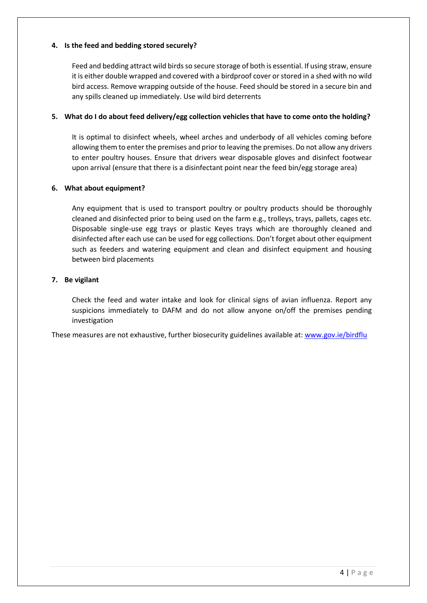### **4. Is the feed and bedding stored securely?**

Feed and bedding attract wild birds so secure storage of both is essential. If using straw, ensure it is either double wrapped and covered with a birdproof cover or stored in a shed with no wild bird access. Remove wrapping outside of the house. Feed should be stored in a secure bin and any spills cleaned up immediately. Use wild bird deterrents

#### **5. What do I do about feed delivery/egg collection vehicles that have to come onto the holding?**

It is optimal to disinfect wheels, wheel arches and underbody of all vehicles coming before allowing them to enter the premises and prior to leaving the premises. Do not allow any drivers to enter poultry houses. Ensure that drivers wear disposable gloves and disinfect footwear upon arrival (ensure that there is a disinfectant point near the feed bin/egg storage area)

#### **6. What about equipment?**

Any equipment that is used to transport poultry or poultry products should be thoroughly cleaned and disinfected prior to being used on the farm e.g., trolleys, trays, pallets, cages etc. Disposable single-use egg trays or plastic Keyes trays which are thoroughly cleaned and disinfected after each use can be used for egg collections. Don't forget about other equipment such as feeders and watering equipment and clean and disinfect equipment and housing between bird placements

### **7. Be vigilant**

Check the feed and water intake and look for clinical signs of avian influenza. Report any suspicions immediately to DAFM and do not allow anyone on/off the premises pending investigation

These measures are not exhaustive, further biosecurity guidelines available at: [www.gov.ie/birdflu](http://www.gov.ie/birdflu)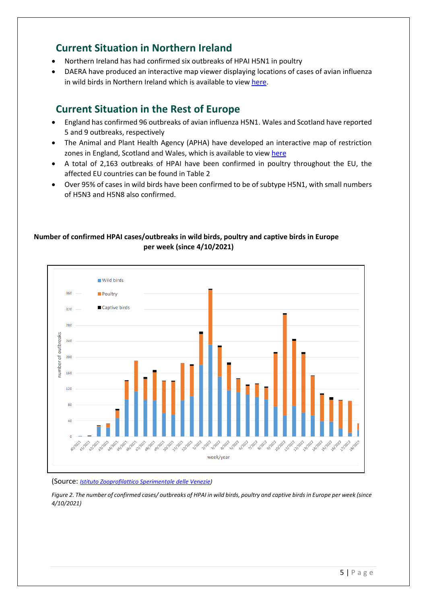### **Current Situation in Northern Ireland**

- Northern Ireland has had confirmed six outbreaks of HPAI H5N1 in poultry
- DAERA have produced an interactive map viewer displaying locations of cases of avian influenza in wild birds in Northern Ireland which is available to view [here.](https://daerani.maps.arcgis.com/apps/webappviewer/index.html?id=edc0810efa784ba99563eafbb52df1b8)

# **Current Situation in the Rest of Europe**

- England has confirmed 96 outbreaks of avian influenza H5N1. Wales and Scotland have reported 5 and 9 outbreaks, respectively
- The Animal and Plant Health Agency (APHA) have developed an interactive map of restriction zones in England, Scotland and Wales, which is available to view [here](https://defra.maps.arcgis.com/apps/webappviewer/index.html?id=8cb1883eda5547c6b91b5d5e6aeba90d)
- A total of 2,163 outbreaks of HPAI have been confirmed in poultry throughout the EU, the affected EU countries can be found in Table 2
- Over 95% of cases in wild birds have been confirmed to be of subtype H5N1, with small numbers of H5N3 and H5N8 also confirmed.

### **Number of confirmed HPAI cases/outbreaks in wild birds, poultry and captive birds in Europe per week (since 4/10/2021)**



(Source: *[Istituto Zooprofilattico Sperimentale delle Venezie\)](https://www.izsvenezie.com/reference-laboratories/avian-influenza-newcastle-disease/europe-update/)*

*Figure 2. The number of confirmed cases/ outbreaks of HPAI in wild birds, poultry and captive birds in Europe per week (since 4/10/2021)*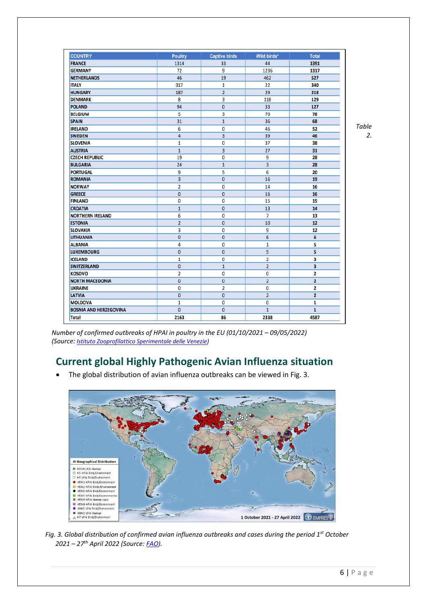| <b>COUNTRY</b>                | <b>Poultry</b> | <b>Captive birds</b> | Wild birds*    | <b>Total</b>   |
|-------------------------------|----------------|----------------------|----------------|----------------|
| <b>FRANCE</b>                 | 1314           | 33                   | 44             | 1391           |
| <b>GERMANY</b>                | 72             | 9                    | 1236           | 1317           |
| <b>NETHERLANDS</b>            | 46             | 19                   | 462            | 527            |
| <b>ITALY</b>                  | 317            | 1                    | 22             | 340            |
| <b>HUNGARY</b>                | 187            | $\overline{2}$       | 29             | 218            |
| <b>DENMARK</b>                | 8              | 3                    | 118            | 129            |
| <b>POLAND</b>                 | 94             | $\mathbf{0}$         | 33             | 127            |
| <b>BELGIUM</b>                | 5              | 3                    | 70             | 78             |
| <b>SPAIN</b>                  | 31             | $\mathbf{1}$         | 36             | 68             |
| <b>IRELAND</b>                | 6              | 0                    | 46             | 52             |
| <b>SWEDEN</b>                 | 4              | 3                    | 39             | 46             |
| <b>SLOVENIA</b>               | $\mathbf{1}$   | 0                    | 37             | 38             |
| <b>AUSTRIA</b>                | $\mathbf{1}$   | 3                    | 27             | 31             |
| <b>CZECH REPUBLIC</b>         | 19             | 0                    | 9              | 28             |
| <b>BULGARIA</b>               | 24             | $\mathbf{1}$         | 3              | 28             |
| <b>PORTUGAL</b>               | 9              | 5                    | 6              | 20             |
| <b>ROMANIA</b>                | $\overline{3}$ | $\mathbf{0}$         | 16             | 19             |
| <b>NORWAY</b>                 | $\overline{2}$ | $\mathbf 0$          | 14             | 16             |
| <b>GREECE</b>                 | $\mathbf{0}$   | $\mathbf{0}$         | 16             | 16             |
| <b>FINLAND</b>                | 0              | 0                    | 15             | 15             |
| <b>CROATIA</b>                | $\overline{1}$ | $\mathbf{0}$         | 13             | 14             |
| <b>NORTHERN IRELAND</b>       | 6              | 0                    | $\overline{7}$ | 13             |
| <b>ESTONIA</b>                | $\overline{2}$ | $\mathbf{0}$         | 10             | 12             |
| <b>SLOVAKIA</b>               | 3              | 0                    | 9              | 12             |
| <b>LITHUANIA</b>              | $\mathbf{0}$   | $\mathbf{0}$         | 6              | 6              |
| <b>ALBANIA</b>                | 4              | 0                    | 1              | 5              |
| <b>LUXEMBOURG</b>             | $\overline{0}$ | $\mathbf{0}$         | 5              | 5              |
| <b>ICELAND</b>                | $\mathbf{1}$   | 0                    | $\overline{2}$ | 3              |
| <b>SWITZERLAND</b>            | 0              | $\mathbf{1}$         | $\overline{2}$ | 3              |
| <b>KOSOVO</b>                 | $\overline{2}$ | 0                    | $\bf{0}$       | 2              |
| <b>NORTH MACEDONIA</b>        | 0              | $\mathbf 0$          | $\overline{2}$ | $\overline{2}$ |
| <b>UKRAINE</b>                | 0              | $\overline{2}$       | 0              | 2              |
| <b>LATVIA</b>                 | $\overline{0}$ | $\overline{0}$       | $\overline{2}$ | $\overline{2}$ |
| <b>MOLDOVA</b>                | 1              | 0                    | 0              | 1              |
| <b>BOSNIA AND HERZEGOVINA</b> | $\overline{0}$ | $\mathbf{0}$         | $\mathbf{1}$   | $\mathbf{1}$   |
| <b>Total</b>                  | 2163           | 86                   | 2338           | 4587           |

*Table 2.* 

*Number of confirmed outbreaks of HPAI in poultry in the EU (01/10/2021 – 09/05/2022) (Source: [Istituto Zooprofilattico Sperimentale delle Venezie\)](https://www.izsvenezie.com/reference-laboratories/avian-influenza-newcastle-disease/europe-update/)*

# **Current global Highly Pathogenic Avian Influenza situation**

• The global distribution of avian influenza outbreaks can be viewed in Fig. 3.



*Fig. 3. Global distribution of confirmed avian influenza outbreaks and cases during the period 1st October 2021 – 27 th April 2022 (Source: [FAO\)](https://www.fao.org/ag/againfo/programmes/en/empres/Global_AIV_Zoonotic_Update/situation_update.html).*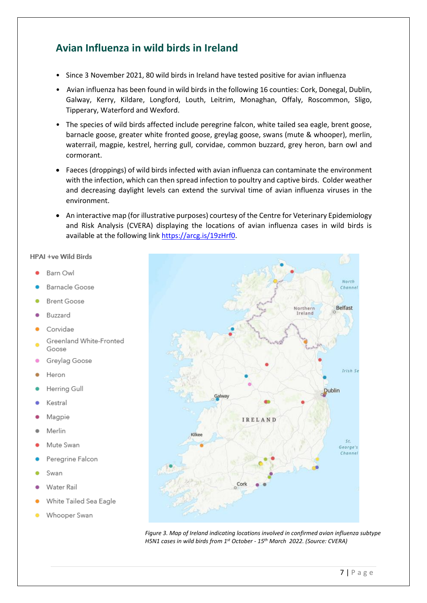# **Avian Influenza in wild birds in Ireland**

- Since 3 November 2021, 80 wild birds in Ireland have tested positive for avian influenza
- Avian influenza has been found in wild birds in the following 16 counties: Cork, Donegal, Dublin, Galway, Kerry, Kildare, Longford, Louth, Leitrim, Monaghan, Offaly, Roscommon, Sligo, Tipperary, Waterford and Wexford.
- The species of wild birds affected include peregrine falcon, white tailed sea eagle, brent goose, barnacle goose, greater white fronted goose, greylag goose, swans (mute & whooper), merlin, waterrail, magpie, kestrel, herring gull, corvidae, common buzzard, grey heron, barn owl and cormorant.
- Faeces (droppings) of wild birds infected with avian influenza can contaminate the environment with the infection, which can then spread infection to poultry and captive birds. Colder weather and decreasing daylight levels can extend the survival time of avian influenza viruses in the environment.
- An interactive map (for illustrative purposes) courtesy of the Centre for Veterinary Epidemiology and Risk Analysis (CVERA) displaying the locations of avian influenza cases in wild birds is available at the following link [https://arcg.is/19zHrf0.](https://arcg.is/19zHrf0)

#### HPAI +ve Wild Birds

- Barn Owl
- Barnacle Goose
- **Brent Goose**
- Buzzard
- Corvidae
- Greenland White-Fronted
- Goose<br>Greylag Goose
- Heron
- Herring Gull
- Kestral
- Magpie
- Merlin
- Mute Swan
- Peregrine Falcon
- Swan
- Water Rail
- White Tailed Sea Eagle
- Whooper Swan



*Figure 3. Map of Ireland indicating locations involved in confirmed avian influenza subtype H5N1 cases in wild birds from 1st October - 15th March 2022. (Source: CVERA)*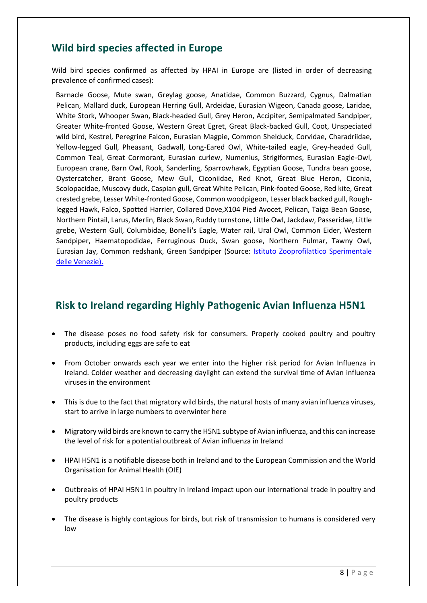# **Wild bird species affected in Europe**

Wild bird species confirmed as affected by HPAI in Europe are (listed in order of decreasing prevalence of confirmed cases):

Barnacle Goose, Mute swan, Greylag goose, Anatidae, Common Buzzard, Cygnus, Dalmatian Pelican, Mallard duck, European Herring Gull, Ardeidae, Eurasian Wigeon, Canada goose, Laridae, White Stork, Whooper Swan, Black-headed Gull, Grey Heron, Accipiter, Semipalmated Sandpiper, Greater White-fronted Goose, Western Great Egret, Great Black-backed Gull, Coot, Unspeciated wild bird, Kestrel, Peregrine Falcon, Eurasian Magpie, Common Shelduck, Corvidae, Charadriidae, Yellow-legged Gull, Pheasant, Gadwall, Long-Eared Owl, White-tailed eagle, Grey-headed Gull, Common Teal, Great Cormorant, Eurasian curlew, Numenius, Strigiformes, Eurasian Eagle-Owl, European crane, Barn Owl, Rook, Sanderling, Sparrowhawk, Egyptian Goose, Tundra bean goose, Oystercatcher, Brant Goose, Mew Gull, Ciconiidae, Red Knot, Great Blue Heron, Ciconia, Scolopacidae, Muscovy duck, Caspian gull, Great White Pelican, Pink-footed Goose, Red kite, Great crested grebe, Lesser White-fronted Goose, Common woodpigeon, Lesser black backed gull, Roughlegged Hawk, Falco, Spotted Harrier, Collared Dove,X104 Pied Avocet, Pelican, Taiga Bean Goose, Northern Pintail, Larus, Merlin, Black Swan, Ruddy turnstone, Little Owl, Jackdaw, Passeridae, Little grebe, Western Gull, Columbidae, Bonelli's Eagle, Water rail, Ural Owl, Common Eider, Western Sandpiper, Haematopodidae, Ferruginous Duck, Swan goose, Northern Fulmar, Tawny Owl, Eurasian Jay, Common redshank, Green Sandpiper (Source: [Istituto Zooprofilattico Sperimentale](https://izsvenezie.com/documents/reference-laboratories/avian-influenza/europe-updates/HPAI/2021-1/wild-birds.pdf)  [delle Venezie\).](https://izsvenezie.com/documents/reference-laboratories/avian-influenza/europe-updates/HPAI/2021-1/wild-birds.pdf)

### **Risk to Ireland regarding Highly Pathogenic Avian Influenza H5N1**

- The disease poses no food safety risk for consumers. Properly cooked poultry and poultry products, including eggs are safe to eat
- From October onwards each year we enter into the higher risk period for Avian Influenza in Ireland. Colder weather and decreasing daylight can extend the survival time of Avian influenza viruses in the environment
- This is due to the fact that migratory wild birds, the natural hosts of many avian influenza viruses, start to arrive in large numbers to overwinter here
- Migratory wild birds are known to carry the H5N1 subtype of Avian influenza, and this can increase the level of risk for a potential outbreak of Avian influenza in Ireland
- HPAI H5N1 is a notifiable disease both in Ireland and to the European Commission and the World Organisation for Animal Health (OIE)
- Outbreaks of HPAI H5N1 in poultry in Ireland impact upon our international trade in poultry and poultry products
- The disease is highly contagious for birds, but risk of transmission to humans is considered very low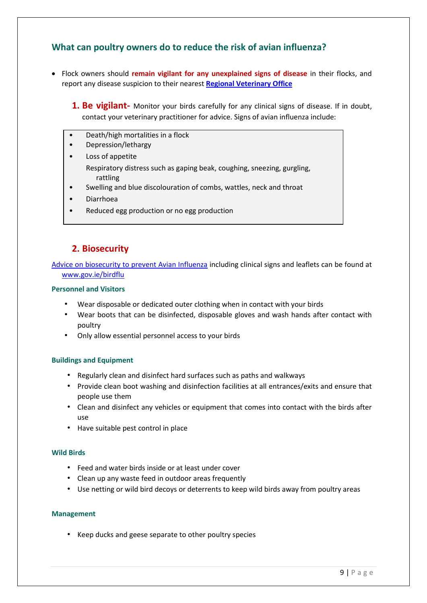### **What can poultry owners do to reduce the risk of avian influenza?**

- Flock owners should **remain vigilant for any unexplained signs of disease** in their flocks, and report any disease suspicion to their nearest **[Regional Veterinary Office](https://www.gov.ie/en/publication/cc6cee-regional-veterinary-offices/)**
	- **1. Be vigilant-** Monitor your birds carefully for any clinical signs of disease. If in doubt, contact your veterinary practitioner for advice. Signs of avian influenza include:
	- Death/high mortalities in a flock
	- Depression/lethargy
	- Loss of appetite Respiratory distress such as gaping beak, coughing, sneezing, gurgling, rattling
	- Swelling and blue discolouration of combs, wattles, neck and throat
	- Diarrhoea
	- Reduced egg production or no egg production

### **2. Biosecurity**

[Advice on biosecurity to prevent Avian Influenza](file:///C:/Users/Eithne.White.AGRICULTURE/AppData/Local/Microsoft/Windows/INetCache/Content.Outlook/D3Y3C8CE/Advice%20on%20biosecurity%20to%20prevent%20Avian%20Influenza) including clinical signs and leaflets can be found at [www.gov.ie/birdflu](http://www.gov.ie/birdflu)

#### **Personnel and Visitors**

- Wear disposable or dedicated outer clothing when in contact with your birds
- Wear boots that can be disinfected, disposable gloves and wash hands after contact with poultry
- Only allow essential personnel access to your birds

#### **Buildings and Equipment**

- Regularly clean and disinfect hard surfaces such as paths and walkways
- Provide clean boot washing and disinfection facilities at all entrances/exits and ensure that people use them
- Clean and disinfect any vehicles or equipment that comes into contact with the birds after use
- Have suitable pest control in place

#### **Wild Birds**

- Feed and water birds inside or at least under cover
- Clean up any waste feed in outdoor areas frequently
- Use netting or wild bird decoys or deterrents to keep wild birds away from poultry areas

#### **Management**

• Keep ducks and geese separate to other poultry species